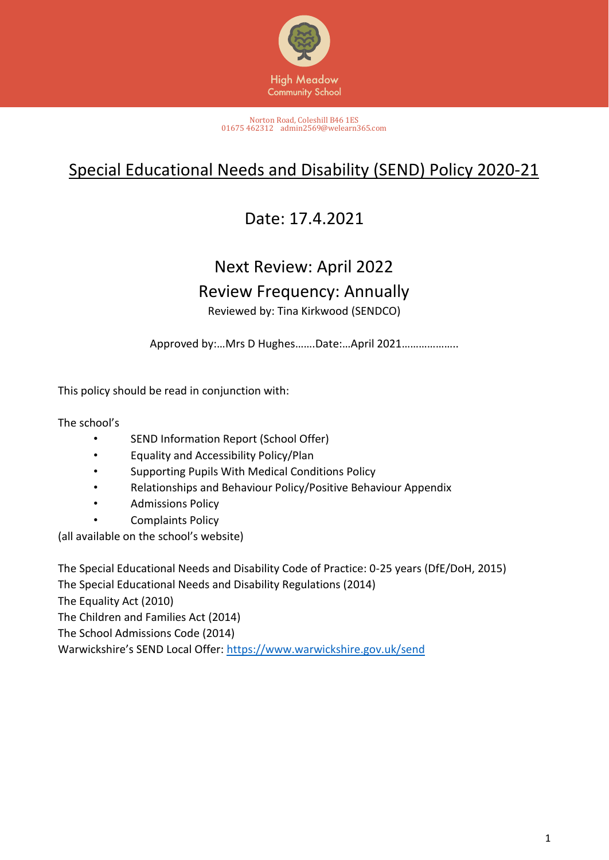

# Special Educational Needs and Disability (SEND) Policy 2020-21

# Date: 17.4.2021

# Next Review: April 2022

## Review Frequency: Annually

Reviewed by: Tina Kirkwood (SENDCO)

Approved by:…Mrs D Hughes…….Date:…April 2021………………..

This policy should be read in conjunction with:

The school's

- SEND Information Report (School Offer)
- Equality and Accessibility Policy/Plan
- Supporting Pupils With Medical Conditions Policy
- Relationships and Behaviour Policy/Positive Behaviour Appendix
- Admissions Policy
- Complaints Policy

(all available on the school's website)

The Special Educational Needs and Disability Code of Practice: 0-25 years (DfE/DoH, 2015) The Special Educational Needs and Disability Regulations (2014) The Equality Act (2010) The Children and Families Act (2014) The School Admissions Code (2014) Warwickshire's SEND Local Offer: <https://www.warwickshire.gov.uk/send>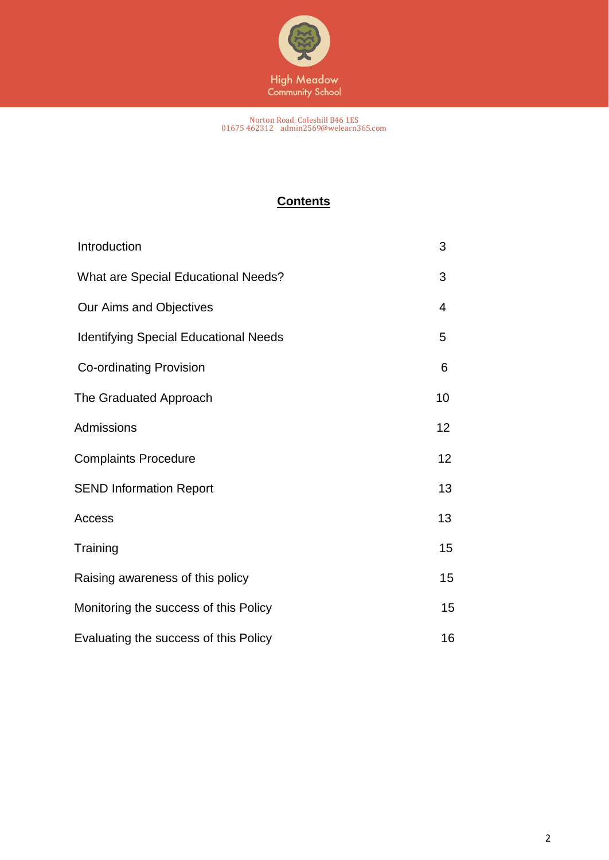

## **Contents**

| Introduction                                 | 3              |
|----------------------------------------------|----------------|
| <b>What are Special Educational Needs?</b>   | 3              |
| Our Aims and Objectives                      | $\overline{4}$ |
| <b>Identifying Special Educational Needs</b> | 5              |
| <b>Co-ordinating Provision</b>               | 6              |
| The Graduated Approach                       | 10             |
| Admissions                                   | 12             |
| <b>Complaints Procedure</b>                  | 12             |
| <b>SEND Information Report</b>               | 13             |
| Access                                       | 13             |
| Training                                     | 15             |
| Raising awareness of this policy             | 15             |
| Monitoring the success of this Policy        | 15             |
| Evaluating the success of this Policy        | 16             |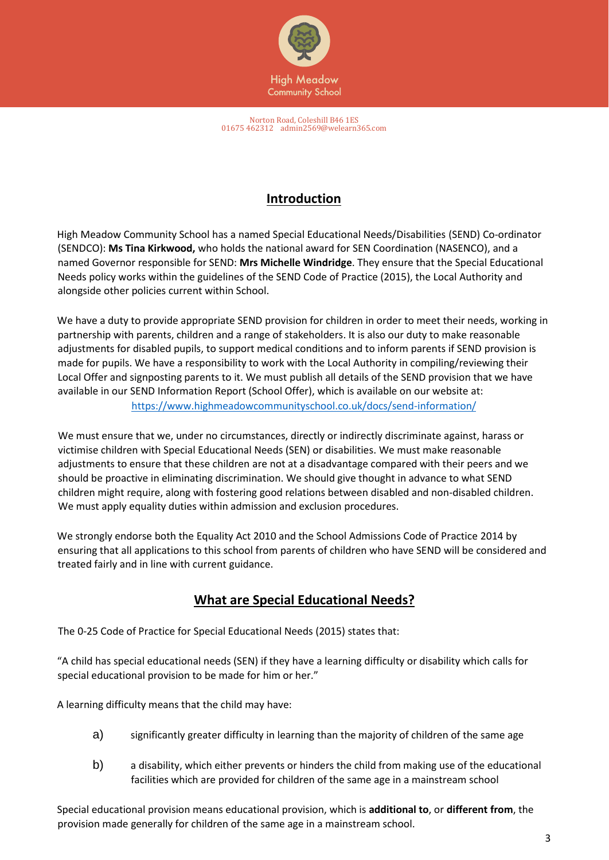

## **Introduction**

High Meadow Community School has a named Special Educational Needs/Disabilities (SEND) Co-ordinator (SENDCO): **Ms Tina Kirkwood,** who holds the national award for SEN Coordination (NASENCO), and a named Governor responsible for SEND: **Mrs Michelle Windridge**. They ensure that the Special Educational Needs policy works within the guidelines of the SEND Code of Practice (2015), the Local Authority and alongside other policies current within School.

We have a duty to provide appropriate SEND provision for children in order to meet their needs, working in partnership with parents, children and a range of stakeholders. It is also our duty to make reasonable adjustments for disabled pupils, to support medical conditions and to inform parents if SEND provision is made for pupils. We have a responsibility to work with the Local Authority in compiling/reviewing their Local Offer and signposting parents to it. We must publish all details of the SEND provision that we have available in our SEND Information Report (School Offer), which is available on our website at: <https://www.highmeadowcommunityschool.co.uk/docs/send-information/>

We must ensure that we, under no circumstances, directly or indirectly discriminate against, harass or victimise children with Special Educational Needs (SEN) or disabilities. We must make reasonable adjustments to ensure that these children are not at a disadvantage compared with their peers and we should be proactive in eliminating discrimination. We should give thought in advance to what SEND children might require, along with fostering good relations between disabled and non-disabled children. We must apply equality duties within admission and exclusion procedures.

We strongly endorse both the Equality Act 2010 and the School Admissions Code of Practice 2014 by ensuring that all applications to this school from parents of children who have SEND will be considered and treated fairly and in line with current guidance.

## **What are Special Educational Needs?**

The 0-25 Code of Practice for Special Educational Needs (2015) states that:

"A child has special educational needs (SEN) if they have a learning difficulty or disability which calls for special educational provision to be made for him or her."

A learning difficulty means that the child may have:

- a) significantly greater difficulty in learning than the majority of children of the same age
- b) a disability, which either prevents or hinders the child from making use of the educational facilities which are provided for children of the same age in a mainstream school

Special educational provision means educational provision, which is **additional to**, or **different from**, the provision made generally for children of the same age in a mainstream school.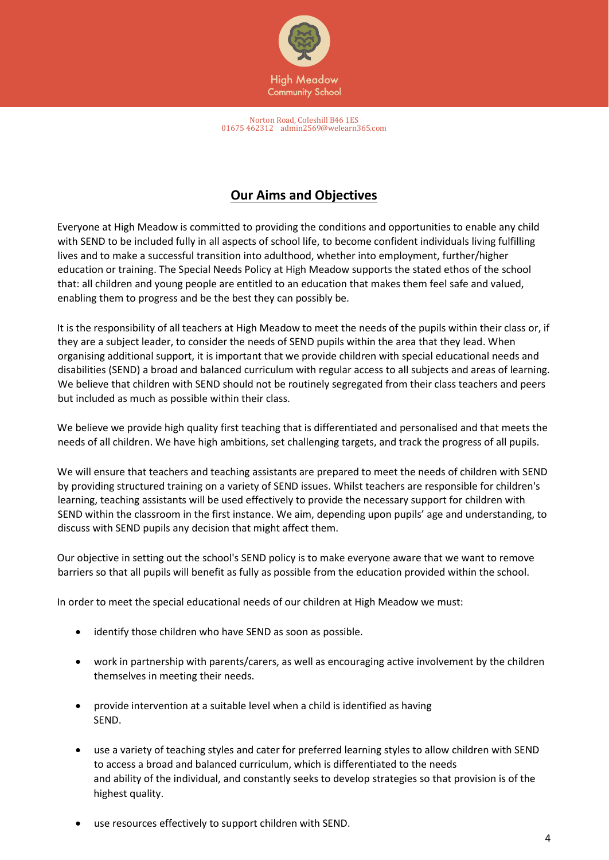

## **Our Aims and Objectives**

Everyone at High Meadow is committed to providing the conditions and opportunities to enable any child with SEND to be included fully in all aspects of school life, to become confident individuals living fulfilling lives and to make a successful transition into adulthood, whether into employment, further/higher education or training. The Special Needs Policy at High Meadow supports the stated ethos of the school that: all children and young people are entitled to an education that makes them feel safe and valued, enabling them to progress and be the best they can possibly be.

It is the responsibility of all teachers at High Meadow to meet the needs of the pupils within their class or, if they are a subject leader, to consider the needs of SEND pupils within the area that they lead. When organising additional support, it is important that we provide children with special educational needs and disabilities (SEND) a broad and balanced curriculum with regular access to all subjects and areas of learning. We believe that children with SEND should not be routinely segregated from their class teachers and peers but included as much as possible within their class.

We believe we provide high quality first teaching that is differentiated and personalised and that meets the needs of all children. We have high ambitions, set challenging targets, and track the progress of all pupils.

We will ensure that teachers and teaching assistants are prepared to meet the needs of children with SEND by providing structured training on a variety of SEND issues. Whilst teachers are responsible for children's learning, teaching assistants will be used effectively to provide the necessary support for children with SEND within the classroom in the first instance. We aim, depending upon pupils' age and understanding, to discuss with SEND pupils any decision that might affect them.

Our objective in setting out the school's SEND policy is to make everyone aware that we want to remove barriers so that all pupils will benefit as fully as possible from the education provided within the school.

In order to meet the special educational needs of our children at High Meadow we must:

- identify those children who have SEND as soon as possible.
- work in partnership with parents/carers, as well as encouraging active involvement by the children themselves in meeting their needs.
- provide intervention at a suitable level when a child is identified as having SEND.
- use a variety of teaching styles and cater for preferred learning styles to allow children with SEND to access a broad and balanced curriculum, which is differentiated to the needs and ability of the individual, and constantly seeks to develop strategies so that provision is of the highest quality.
- use resources effectively to support children with SEND.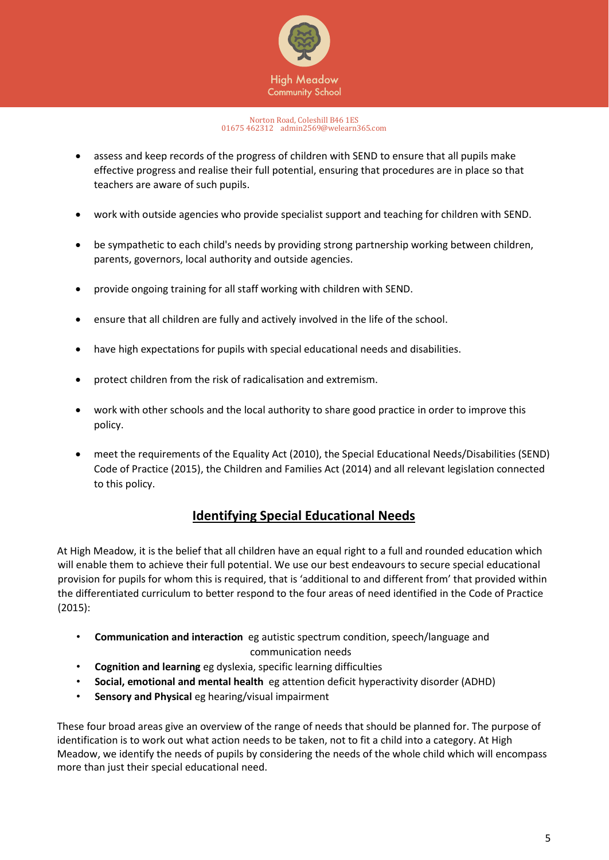

- assess and keep records of the progress of children with SEND to ensure that all pupils make effective progress and realise their full potential, ensuring that procedures are in place so that teachers are aware of such pupils.
- work with outside agencies who provide specialist support and teaching for children with SEND.
- be sympathetic to each child's needs by providing strong partnership working between children, parents, governors, local authority and outside agencies.
- provide ongoing training for all staff working with children with SEND.
- ensure that all children are fully and actively involved in the life of the school.
- have high expectations for pupils with special educational needs and disabilities.
- protect children from the risk of radicalisation and extremism.
- work with other schools and the local authority to share good practice in order to improve this policy.
- meet the requirements of the Equality Act (2010), the Special Educational Needs/Disabilities (SEND) Code of Practice (2015), the Children and Families Act (2014) and all relevant legislation connected to this policy.

## **Identifying Special Educational Needs**

At High Meadow, it is the belief that all children have an equal right to a full and rounded education which will enable them to achieve their full potential. We use our best endeavours to secure special educational provision for pupils for whom this is required, that is 'additional to and different from' that provided within the differentiated curriculum to better respond to the four areas of need identified in the Code of Practice (2015):

- **Communication and interaction** eg autistic spectrum condition, speech/language and communication needs
- **Cognition and learning** eg dyslexia, specific learning difficulties
- **Social, emotional and mental health** eg attention deficit hyperactivity disorder (ADHD)
- **Sensory and Physical** eg hearing/visual impairment

These four broad areas give an overview of the range of needs that should be planned for. The purpose of identification is to work out what action needs to be taken, not to fit a child into a category. At High Meadow, we identify the needs of pupils by considering the needs of the whole child which will encompass more than just their special educational need.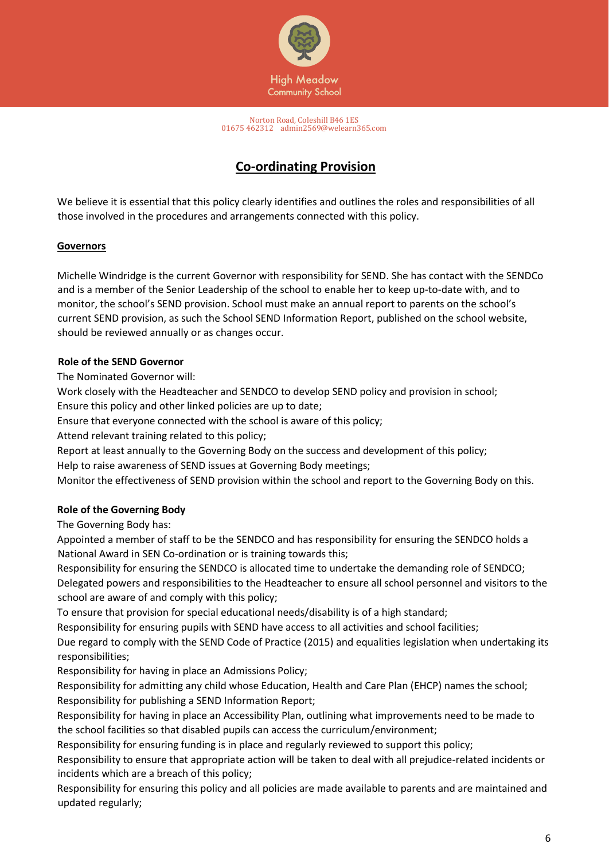

## **Co-ordinating Provision**

We believe it is essential that this policy clearly identifies and outlines the roles and responsibilities of all those involved in the procedures and arrangements connected with this policy.

### **Governors**

Michelle Windridge is the current Governor with responsibility for SEND. She has contact with the SENDCo and is a member of the Senior Leadership of the school to enable her to keep up-to-date with, and to monitor, the school's SEND provision. School must make an annual report to parents on the school's current SEND provision, as such the School SEND Information Report, published on the school website, should be reviewed annually or as changes occur.

### **Role of the SEND Governor**

The Nominated Governor will:

Work closely with the Headteacher and SENDCO to develop SEND policy and provision in school; Ensure this policy and other linked policies are up to date;

Ensure that everyone connected with the school is aware of this policy;

Attend relevant training related to this policy;

Report at least annually to the Governing Body on the success and development of this policy;

Help to raise awareness of SEND issues at Governing Body meetings;

Monitor the effectiveness of SEND provision within the school and report to the Governing Body on this.

### **Role of the Governing Body**

The Governing Body has:

Appointed a member of staff to be the SENDCO and has responsibility for ensuring the SENDCO holds a National Award in SEN Co-ordination or is training towards this;

Responsibility for ensuring the SENDCO is allocated time to undertake the demanding role of SENDCO; Delegated powers and responsibilities to the Headteacher to ensure all school personnel and visitors to the school are aware of and comply with this policy;

To ensure that provision for special educational needs/disability is of a high standard;

Responsibility for ensuring pupils with SEND have access to all activities and school facilities;

Due regard to comply with the SEND Code of Practice (2015) and equalities legislation when undertaking its responsibilities;

Responsibility for having in place an Admissions Policy;

Responsibility for admitting any child whose Education, Health and Care Plan (EHCP) names the school; Responsibility for publishing a SEND Information Report;

Responsibility for having in place an Accessibility Plan, outlining what improvements need to be made to the school facilities so that disabled pupils can access the curriculum/environment;

Responsibility for ensuring funding is in place and regularly reviewed to support this policy;

Responsibility to ensure that appropriate action will be taken to deal with all prejudice-related incidents or incidents which are a breach of this policy;

Responsibility for ensuring this policy and all policies are made available to parents and are maintained and updated regularly;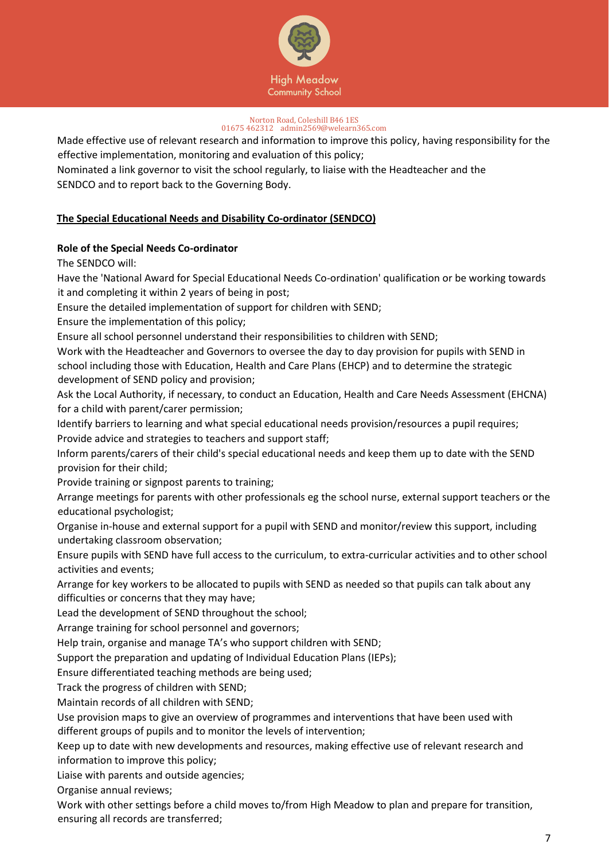

Made effective use of relevant research and information to improve this policy, having responsibility for the effective implementation, monitoring and evaluation of this policy;

Nominated a link governor to visit the school regularly, to liaise with the Headteacher and the SENDCO and to report back to the Governing Body.

### **The Special Educational Needs and Disability Co-ordinator (SENDCO)**

### **Role of the Special Needs Co-ordinator**

The SENDCO will:

Have the 'National Award for Special Educational Needs Co-ordination' qualification or be working towards it and completing it within 2 years of being in post;

Ensure the detailed implementation of support for children with SEND;

Ensure the implementation of this policy;

Ensure all school personnel understand their responsibilities to children with SEND;

Work with the Headteacher and Governors to oversee the day to day provision for pupils with SEND in school including those with Education, Health and Care Plans (EHCP) and to determine the strategic development of SEND policy and provision;

Ask the Local Authority, if necessary, to conduct an Education, Health and Care Needs Assessment (EHCNA) for a child with parent/carer permission;

Identify barriers to learning and what special educational needs provision/resources a pupil requires; Provide advice and strategies to teachers and support staff;

Inform parents/carers of their child's special educational needs and keep them up to date with the SEND provision for their child;

Provide training or signpost parents to training;

Arrange meetings for parents with other professionals eg the school nurse, external support teachers or the educational psychologist;

Organise in-house and external support for a pupil with SEND and monitor/review this support, including undertaking classroom observation;

Ensure pupils with SEND have full access to the curriculum, to extra-curricular activities and to other school activities and events;

Arrange for key workers to be allocated to pupils with SEND as needed so that pupils can talk about any difficulties or concerns that they may have;

Lead the development of SEND throughout the school;

Arrange training for school personnel and governors;

Help train, organise and manage TA's who support children with SEND;

Support the preparation and updating of Individual Education Plans (IEPs);

Ensure differentiated teaching methods are being used;

Track the progress of children with SEND;

Maintain records of all children with SEND;

Use provision maps to give an overview of programmes and interventions that have been used with different groups of pupils and to monitor the levels of intervention;

Keep up to date with new developments and resources, making effective use of relevant research and

information to improve this policy;

Liaise with parents and outside agencies;

Organise annual reviews;

Work with other settings before a child moves to/from High Meadow to plan and prepare for transition, ensuring all records are transferred;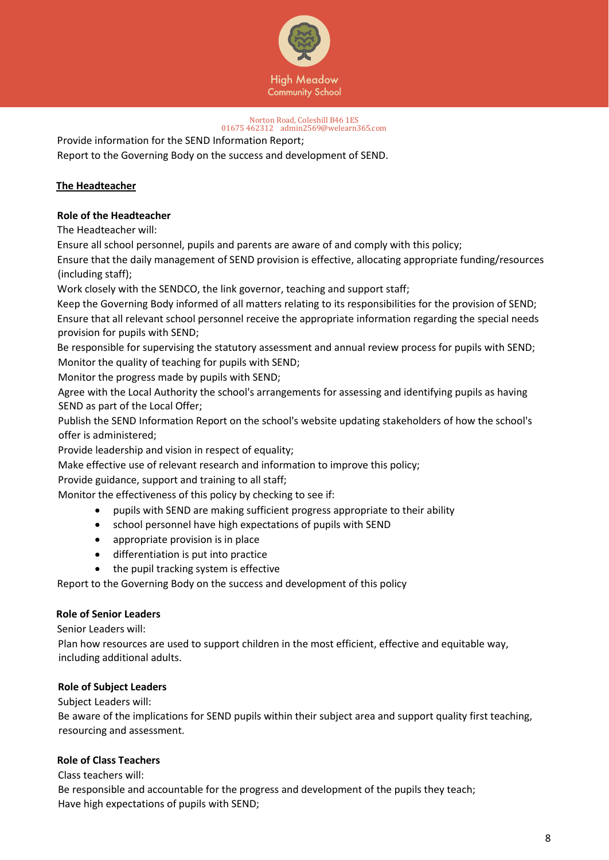

Provide information for the SEND Information Report;

Report to the Governing Body on the success and development of SEND.

### **The Headteacher**

#### **Role of the Headteacher**

The Headteacher will:

Ensure all school personnel, pupils and parents are aware of and comply with this policy;

Ensure that the daily management of SEND provision is effective, allocating appropriate funding/resources (including staff);

Work closely with the SENDCO, the link governor, teaching and support staff;

Keep the Governing Body informed of all matters relating to its responsibilities for the provision of SEND; Ensure that all relevant school personnel receive the appropriate information regarding the special needs provision for pupils with SEND;

Be responsible for supervising the statutory assessment and annual review process for pupils with SEND; Monitor the quality of teaching for pupils with SEND;

Monitor the progress made by pupils with SEND;

Agree with the Local Authority the school's arrangements for assessing and identifying pupils as having SEND as part of the Local Offer;

Publish the SEND Information Report on the school's website updating stakeholders of how the school's offer is administered;

Provide leadership and vision in respect of equality;

Make effective use of relevant research and information to improve this policy;

Provide guidance, support and training to all staff;

Monitor the effectiveness of this policy by checking to see if:

- pupils with SEND are making sufficient progress appropriate to their ability
- school personnel have high expectations of pupils with SEND
- appropriate provision is in place
- differentiation is put into practice
- the pupil tracking system is effective

Report to the Governing Body on the success and development of this policy

### **Role of Senior Leaders**

Senior Leaders will:

Plan how resources are used to support children in the most efficient, effective and equitable way, including additional adults.

#### **Role of Subject Leaders**

Subject Leaders will:

Be aware of the implications for SEND pupils within their subject area and support quality first teaching, resourcing and assessment.

### **Role of Class Teachers**

Class teachers will:

Be responsible and accountable for the progress and development of the pupils they teach; Have high expectations of pupils with SEND;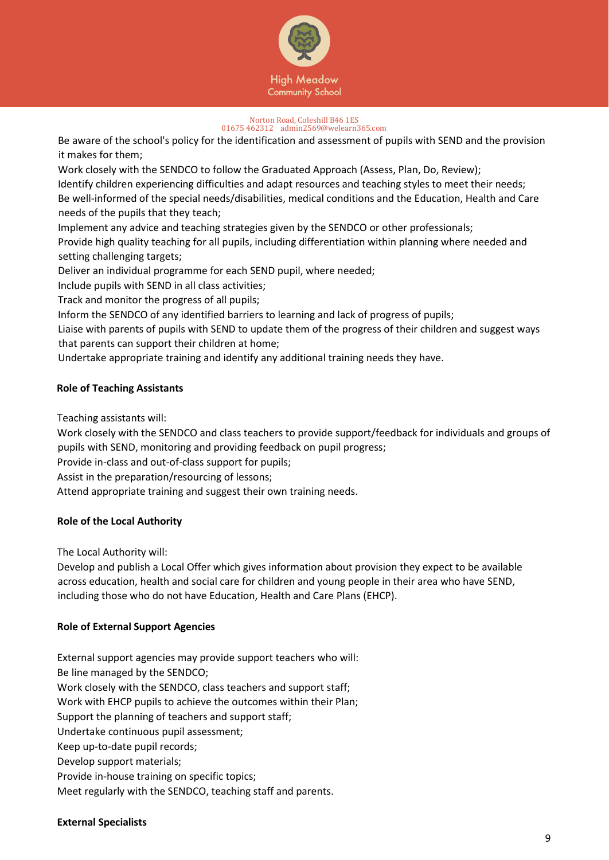

Be aware of the school's policy for the identification and assessment of pupils with SEND and the provision it makes for them;

Work closely with the SENDCO to follow the Graduated Approach (Assess, Plan, Do, Review); Identify children experiencing difficulties and adapt resources and teaching styles to meet their needs; Be well-informed of the special needs/disabilities, medical conditions and the Education, Health and Care needs of the pupils that they teach;

Implement any advice and teaching strategies given by the SENDCO or other professionals;

Provide high quality teaching for all pupils, including differentiation within planning where needed and setting challenging targets;

Deliver an individual programme for each SEND pupil, where needed;

Include pupils with SEND in all class activities;

Track and monitor the progress of all pupils;

Inform the SENDCO of any identified barriers to learning and lack of progress of pupils;

Liaise with parents of pupils with SEND to update them of the progress of their children and suggest ways that parents can support their children at home;

Undertake appropriate training and identify any additional training needs they have.

#### **Role of Teaching Assistants**

Teaching assistants will:

Work closely with the SENDCO and class teachers to provide support/feedback for individuals and groups of pupils with SEND, monitoring and providing feedback on pupil progress;

Provide in-class and out-of-class support for pupils;

Assist in the preparation/resourcing of lessons;

Attend appropriate training and suggest their own training needs.

#### **Role of the Local Authority**

The Local Authority will:

Develop and publish a Local Offer which gives information about provision they expect to be available across education, health and social care for children and young people in their area who have SEND, including those who do not have Education, Health and Care Plans (EHCP).

#### **Role of External Support Agencies**

External support agencies may provide support teachers who will: Be line managed by the SENDCO; Work closely with the SENDCO, class teachers and support staff; Work with EHCP pupils to achieve the outcomes within their Plan; Support the planning of teachers and support staff; Undertake continuous pupil assessment; Keep up-to-date pupil records; Develop support materials; Provide in-house training on specific topics; Meet regularly with the SENDCO, teaching staff and parents.

#### **External Specialists**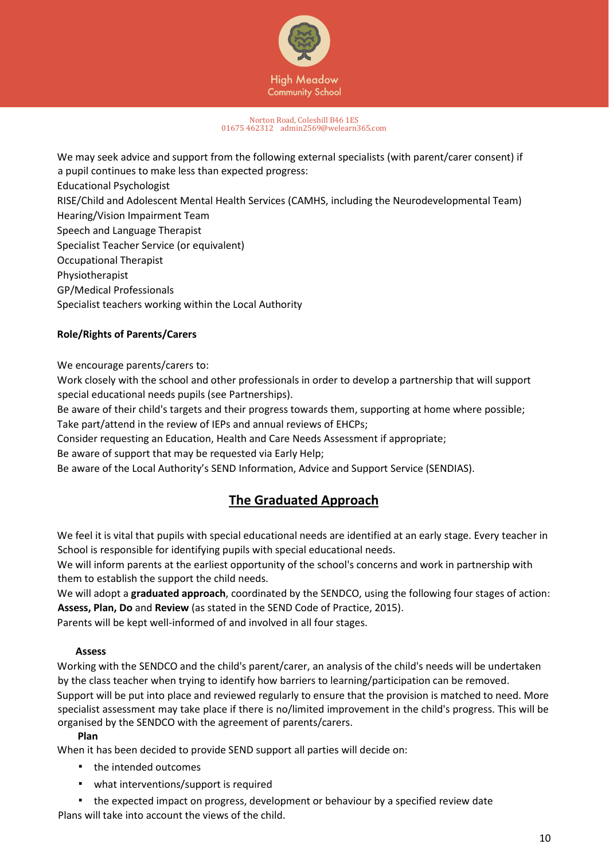

We may seek advice and support from the following external specialists (with parent/carer consent) if a pupil continues to make less than expected progress: Educational Psychologist RISE/Child and Adolescent Mental Health Services (CAMHS, including the Neurodevelopmental Team) Hearing/Vision Impairment Team Speech and Language Therapist Specialist Teacher Service (or equivalent) Occupational Therapist Physiotherapist GP/Medical Professionals Specialist teachers working within the Local Authority

### **Role/Rights of Parents/Carers**

We encourage parents/carers to:

Work closely with the school and other professionals in order to develop a partnership that will support special educational needs pupils (see Partnerships).

Be aware of their child's targets and their progress towards them, supporting at home where possible;

Take part/attend in the review of IEPs and annual reviews of EHCPs;

Consider requesting an Education, Health and Care Needs Assessment if appropriate;

Be aware of support that may be requested via Early Help;

Be aware of the Local Authority's SEND Information, Advice and Support Service (SENDIAS).

## **The Graduated Approach**

We feel it is vital that pupils with special educational needs are identified at an early stage. Every teacher in School is responsible for identifying pupils with special educational needs.

We will inform parents at the earliest opportunity of the school's concerns and work in partnership with them to establish the support the child needs.

We will adopt a **graduated approach**, coordinated by the SENDCO, using the following four stages of action: **Assess, Plan, Do** and **Review** (as stated in the SEND Code of Practice, 2015).

Parents will be kept well-informed of and involved in all four stages.

### **Assess**

Working with the SENDCO and the child's parent/carer, an analysis of the child's needs will be undertaken by the class teacher when trying to identify how barriers to learning/participation can be removed. Support will be put into place and reviewed regularly to ensure that the provision is matched to need. More specialist assessment may take place if there is no/limited improvement in the child's progress. This will be organised by the SENDCO with the agreement of parents/carers.

### **Plan**

When it has been decided to provide SEND support all parties will decide on:

- the intended outcomes
- what interventions/support is required
- the expected impact on progress, development or behaviour by a specified review date Plans will take into account the views of the child.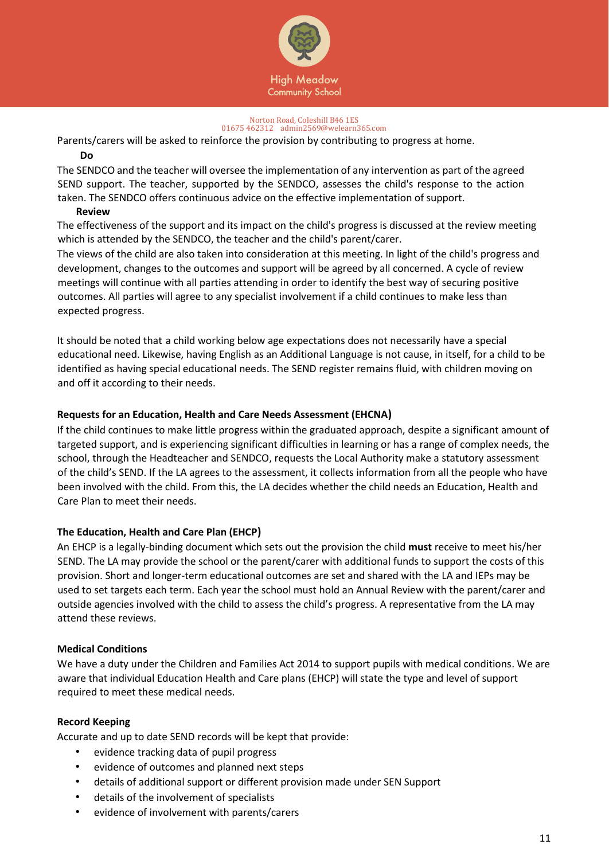

Parents/carers will be asked to reinforce the provision by contributing to progress at home.

#### **Do**

The SENDCO and the teacher will oversee the implementation of any intervention as part of the agreed SEND support. The teacher, supported by the SENDCO, assesses the child's response to the action taken. The SENDCO offers continuous advice on the effective implementation of support.

#### **Review**

The effectiveness of the support and its impact on the child's progress is discussed at the review meeting which is attended by the SENDCO, the teacher and the child's parent/carer.

The views of the child are also taken into consideration at this meeting. In light of the child's progress and development, changes to the outcomes and support will be agreed by all concerned. A cycle of review meetings will continue with all parties attending in order to identify the best way of securing positive outcomes. All parties will agree to any specialist involvement if a child continues to make less than expected progress.

It should be noted that a child working below age expectations does not necessarily have a special educational need. Likewise, having English as an Additional Language is not cause, in itself, for a child to be identified as having special educational needs. The SEND register remains fluid, with children moving on and off it according to their needs.

#### **Requests for an Education, Health and Care Needs Assessment (EHCNA)**

If the child continues to make little progress within the graduated approach, despite a significant amount of targeted support, and is experiencing significant difficulties in learning or has a range of complex needs, the school, through the Headteacher and SENDCO, requests the Local Authority make a statutory assessment of the child's SEND. If the LA agrees to the assessment, it collects information from all the people who have been involved with the child. From this, the LA decides whether the child needs an Education, Health and Care Plan to meet their needs.

#### **The Education, Health and Care Plan (EHCP)**

An EHCP is a legally-binding document which sets out the provision the child **must** receive to meet his/her SEND. The LA may provide the school or the parent/carer with additional funds to support the costs of this provision. Short and longer-term educational outcomes are set and shared with the LA and IEPs may be used to set targets each term. Each year the school must hold an Annual Review with the parent/carer and outside agencies involved with the child to assess the child's progress. A representative from the LA may attend these reviews.

#### **Medical Conditions**

We have a duty under the Children and Families Act 2014 to support pupils with medical conditions. We are aware that individual Education Health and Care plans (EHCP) will state the type and level of support required to meet these medical needs.

#### **Record Keeping**

Accurate and up to date SEND records will be kept that provide:

- evidence tracking data of pupil progress
- evidence of outcomes and planned next steps
- details of additional support or different provision made under SEN Support
- details of the involvement of specialists
- evidence of involvement with parents/carers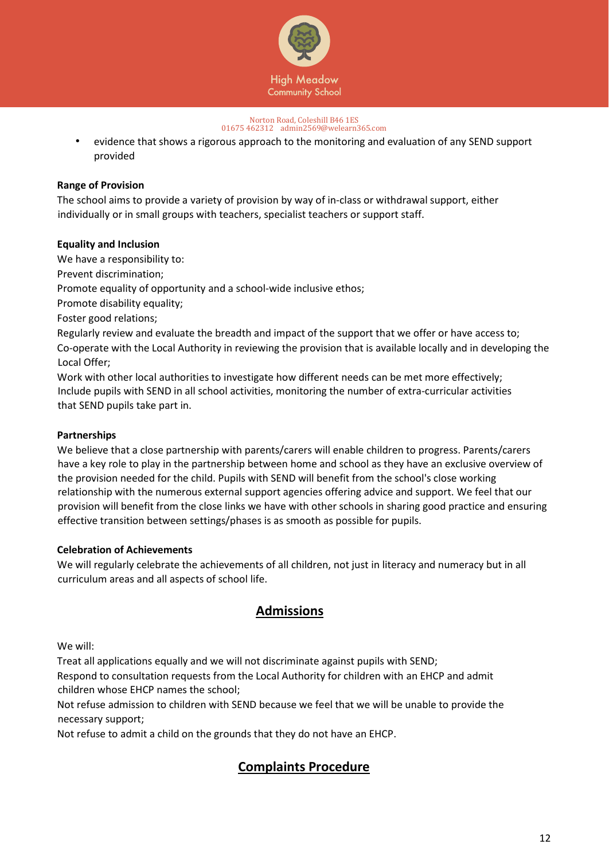

• evidence that shows a rigorous approach to the monitoring and evaluation of any SEND support provided

### **Range of Provision**

The school aims to provide a variety of provision by way of in-class or withdrawal support, either individually or in small groups with teachers, specialist teachers or support staff.

### **Equality and Inclusion**

We have a responsibility to: Prevent discrimination; Promote equality of opportunity and a school-wide inclusive ethos; Promote disability equality; Foster good relations; Regularly review and evaluate the breadth and impact of the support that we offer or have access to; Co-operate with the Local Authority in reviewing the provision that is available locally and in developing the Local Offer; Work with other local authorities to investigate how different needs can be met more effectively; Include pupils with SEND in all school activities, monitoring the number of extra-curricular activities that SEND pupils take part in.

### **Partnerships**

We believe that a close partnership with parents/carers will enable children to progress. Parents/carers have a key role to play in the partnership between home and school as they have an exclusive overview of the provision needed for the child. Pupils with SEND will benefit from the school's close working relationship with the numerous external support agencies offering advice and support. We feel that our provision will benefit from the close links we have with other schools in sharing good practice and ensuring effective transition between settings/phases is as smooth as possible for pupils.

### **Celebration of Achievements**

We will regularly celebrate the achievements of all children, not just in literacy and numeracy but in all curriculum areas and all aspects of school life.

## **Admissions**

We will:

Treat all applications equally and we will not discriminate against pupils with SEND;

Respond to consultation requests from the Local Authority for children with an EHCP and admit children whose EHCP names the school;

Not refuse admission to children with SEND because we feel that we will be unable to provide the necessary support;

Not refuse to admit a child on the grounds that they do not have an EHCP.

## **Complaints Procedure**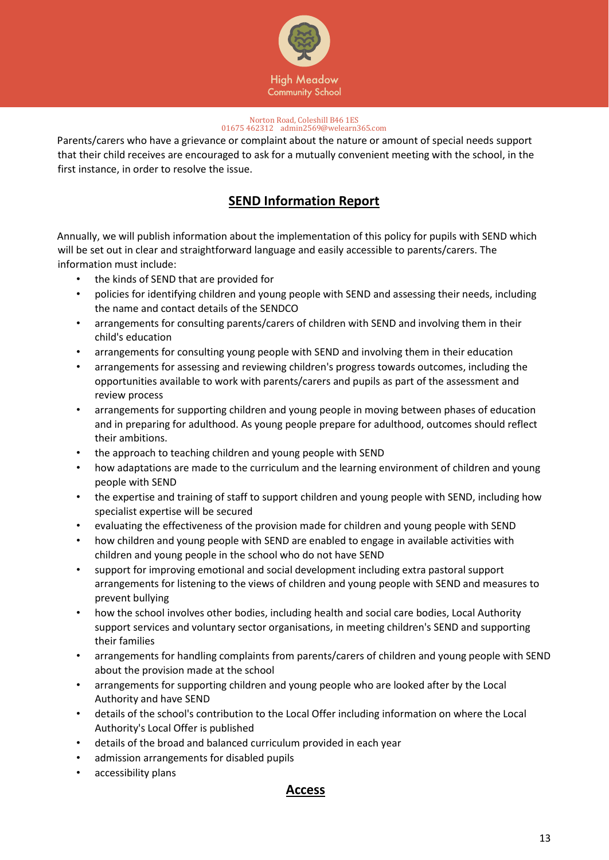

Parents/carers who have a grievance or complaint about the nature or amount of special needs support that their child receives are encouraged to ask for a mutually convenient meeting with the school, in the first instance, in order to resolve the issue.

## **SEND Information Report**

Annually, we will publish information about the implementation of this policy for pupils with SEND which will be set out in clear and straightforward language and easily accessible to parents/carers. The information must include:

- the kinds of SEND that are provided for
- policies for identifying children and young people with SEND and assessing their needs, including the name and contact details of the SENDCO
- arrangements for consulting parents/carers of children with SEND and involving them in their child's education
- arrangements for consulting young people with SEND and involving them in their education
- arrangements for assessing and reviewing children's progress towards outcomes, including the opportunities available to work with parents/carers and pupils as part of the assessment and review process
- arrangements for supporting children and young people in moving between phases of education and in preparing for adulthood. As young people prepare for adulthood, outcomes should reflect their ambitions.
- the approach to teaching children and young people with SEND
- how adaptations are made to the curriculum and the learning environment of children and young people with SEND
- the expertise and training of staff to support children and young people with SEND, including how specialist expertise will be secured
- evaluating the effectiveness of the provision made for children and young people with SEND
- how children and young people with SEND are enabled to engage in available activities with children and young people in the school who do not have SEND
- support for improving emotional and social development including extra pastoral support arrangements for listening to the views of children and young people with SEND and measures to prevent bullying
- how the school involves other bodies, including health and social care bodies, Local Authority support services and voluntary sector organisations, in meeting children's SEND and supporting their families
- arrangements for handling complaints from parents/carers of children and young people with SEND about the provision made at the school
- arrangements for supporting children and young people who are looked after by the Local Authority and have SEND
- details of the school's contribution to the Local Offer including information on where the Local Authority's Local Offer is published
- details of the broad and balanced curriculum provided in each year
- admission arrangements for disabled pupils
- accessibility plans

### **Access**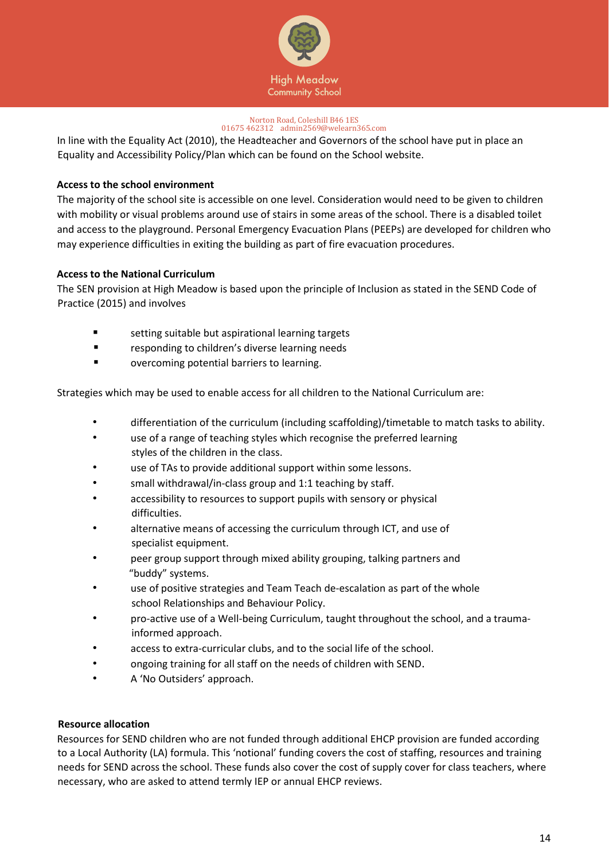

In line with the Equality Act (2010), the Headteacher and Governors of the school have put in place an Equality and Accessibility Policy/Plan which can be found on the School website.

#### **Access to the school environment**

The majority of the school site is accessible on one level. Consideration would need to be given to children with mobility or visual problems around use of stairs in some areas of the school. There is a disabled toilet and access to the playground. Personal Emergency Evacuation Plans (PEEPs) are developed for children who may experience difficulties in exiting the building as part of fire evacuation procedures.

#### **Access to the National Curriculum**

The SEN provision at High Meadow is based upon the principle of Inclusion as stated in the SEND Code of Practice (2015) and involves

- setting suitable but aspirational learning targets
- responding to children's diverse learning needs
- overcoming potential barriers to learning.

Strategies which may be used to enable access for all children to the National Curriculum are:

- differentiation of the curriculum (including scaffolding)/timetable to match tasks to ability.
- use of a range of teaching styles which recognise the preferred learning styles of the children in the class.
- use of TAs to provide additional support within some lessons.
- small withdrawal/in-class group and 1:1 teaching by staff.
- accessibility to resources to support pupils with sensory or physical difficulties.
- alternative means of accessing the curriculum through ICT, and use of specialist equipment.
- peer group support through mixed ability grouping, talking partners and "buddy" systems.
- use of positive strategies and Team Teach de-escalation as part of the whole school Relationships and Behaviour Policy.
- pro-active use of a Well-being Curriculum, taught throughout the school, and a trauma informed approach.
- access to extra-curricular clubs, and to the social life of the school.
- ongoing training for all staff on the needs of children with SEND.
- A 'No Outsiders' approach.

#### **Resource allocation**

Resources for SEND children who are not funded through additional EHCP provision are funded according to a Local Authority (LA) formula. This 'notional' funding covers the cost of staffing, resources and training needs for SEND across the school. These funds also cover the cost of supply cover for class teachers, where necessary, who are asked to attend termly IEP or annual EHCP reviews.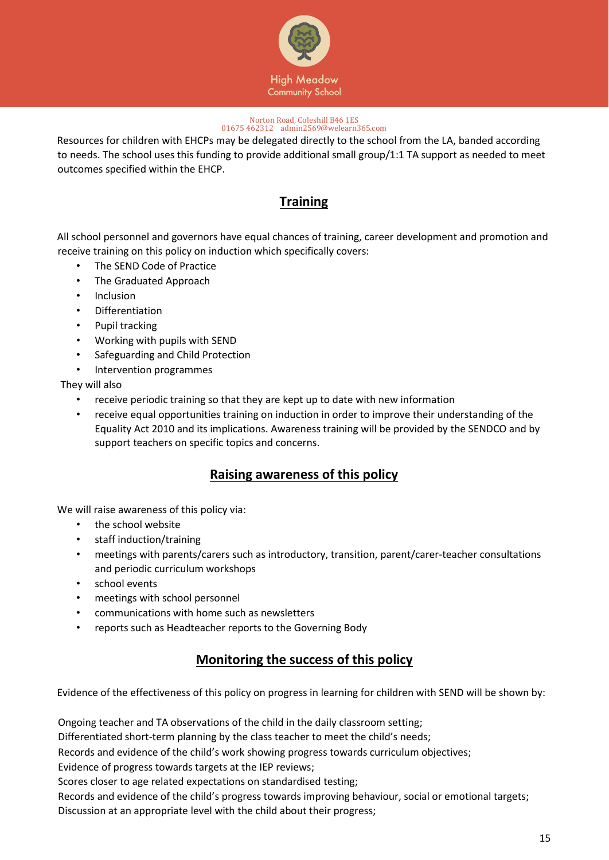

Resources for children with EHCPs may be delegated directly to the school from the LA, banded according to needs. The school uses this funding to provide additional small group/1:1 TA support as needed to meet outcomes specified within the EHCP.

## **Training**

All school personnel and governors have equal chances of training, career development and promotion and receive training on this policy on induction which specifically covers:

- The SEND Code of Practice
- The Graduated Approach
- Inclusion
- Differentiation
- Pupil tracking
- Working with pupils with SEND
- Safeguarding and Child Protection
- Intervention programmes

They will also

- receive periodic training so that they are kept up to date with new information
- receive equal opportunities training on induction in order to improve their understanding of the Equality Act 2010 and its implications. Awareness training will be provided by the SENDCO and by support teachers on specific topics and concerns.

### **Raising awareness of this policy**

We will raise awareness of this policy via:

- the school website
- staff induction/training
- meetings with parents/carers such as introductory, transition, parent/carer-teacher consultations and periodic curriculum workshops
- school events
- meetings with school personnel
- communications with home such as newsletters
- reports such as Headteacher reports to the Governing Body

### **Monitoring the success of this policy**

Evidence of the effectiveness of this policy on progress in learning for children with SEND will be shown by:

Ongoing teacher and TA observations of the child in the daily classroom setting;

Differentiated short-term planning by the class teacher to meet the child's needs;

Records and evidence of the child's work showing progress towards curriculum objectives;

Evidence of progress towards targets at the IEP reviews;

Scores closer to age related expectations on standardised testing;

Records and evidence of the child's progress towards improving behaviour, social or emotional targets; Discussion at an appropriate level with the child about their progress;